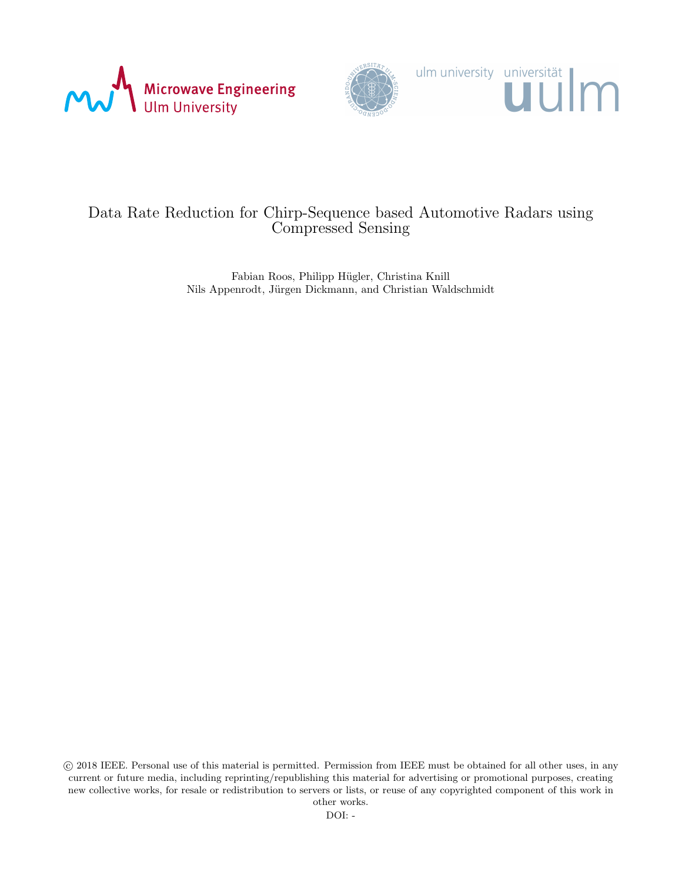



ulm university universität

# Data Rate Reduction for Chirp-Sequence based Automotive Radars using Compressed Sensing

Fabian Roos, Philipp Hügler, Christina Knill Nils Appenrodt, Jürgen Dickmann, and Christian Waldschmidt

 c 2018 IEEE. Personal use of this material is permitted. Permission from IEEE must be obtained for all other uses, in any current or future media, including reprinting/republishing this material for advertising or promotional purposes, creating new collective works, for resale or redistribution to servers or lists, or reuse of any copyrighted component of this work in other works.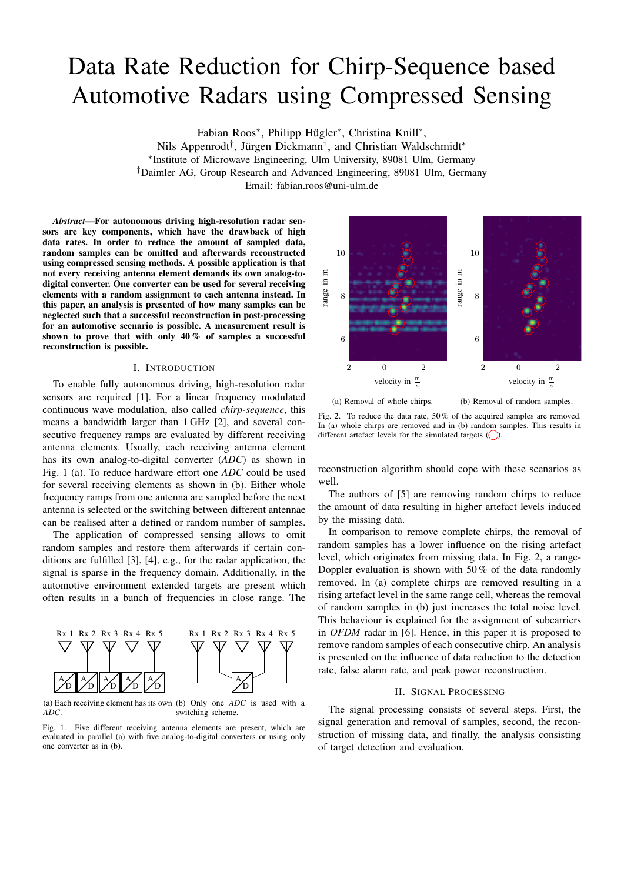# Data Rate Reduction for Chirp-Sequence based Automotive Radars using Compressed Sensing

Fabian Roos\*, Philipp Hügler\*, Christina Knill\*,

Nils Appenrodt<sup>†</sup>, Jürgen Dickmann<sup>†</sup>, and Christian Waldschmidt<sup>∗</sup>

∗ Institute of Microwave Engineering, Ulm University, 89081 Ulm, Germany

†Daimler AG, Group Research and Advanced Engineering, 89081 Ulm, Germany

Email: fabian.roos@uni-ulm.de

*Abstract*—For autonomous driving high-resolution radar sensors are key components, which have the drawback of high data rates. In order to reduce the amount of sampled data, random samples can be omitted and afterwards reconstructed using compressed sensing methods. A possible application is that not every receiving antenna element demands its own analog-todigital converter. One converter can be used for several receiving elements with a random assignment to each antenna instead. In this paper, an analysis is presented of how many samples can be neglected such that a successful reconstruction in post-processing for an automotive scenario is possible. A measurement result is shown to prove that with only 40 % of samples a successful reconstruction is possible.

# I. INTRODUCTION

To enable fully autonomous driving, high-resolution radar sensors are required [1]. For a linear frequency modulated continuous wave modulation, also called *chirp-sequence*, this means a bandwidth larger than 1 GHz [2], and several consecutive frequency ramps are evaluated by different receiving antenna elements. Usually, each receiving antenna element has its own analog-to-digital converter (*ADC*) as shown in Fig. 1 (a). To reduce hardware effort one *ADC* could be used for several receiving elements as shown in (b). Either whole frequency ramps from one antenna are sampled before the next antenna is selected or the switching between different antennae can be realised after a defined or random number of samples.

The application of compressed sensing allows to omit random samples and restore them afterwards if certain conditions are fulfilled [3], [4], e.g., for the radar application, the signal is sparse in the frequency domain. Additionally, in the automotive environment extended targets are present which often results in a bunch of frequencies in close range. The



(a) Each receiving element has its own (b) Only one *ADC* is used with a *ADC*. switching scheme.

Fig. 1. Five different receiving antenna elements are present, which are evaluated in parallel (a) with five analog-to-digital converters or using only one converter as in (b).



(a) Removal of whole chirps.

(b) Removal of random samples.

Fig. 2. To reduce the data rate, 50 % of the acquired samples are removed. In (a) whole chirps are removed and in (b) random samples. This results in different artefact levels for the simulated targets  $($ ).

reconstruction algorithm should cope with these scenarios as well.

The authors of [5] are removing random chirps to reduce the amount of data resulting in higher artefact levels induced by the missing data.

In comparison to remove complete chirps, the removal of random samples has a lower influence on the rising artefact level, which originates from missing data. In Fig. 2, a range-Doppler evaluation is shown with 50 % of the data randomly removed. In (a) complete chirps are removed resulting in a rising artefact level in the same range cell, whereas the removal of random samples in (b) just increases the total noise level. This behaviour is explained for the assignment of subcarriers in *OFDM* radar in [6]. Hence, in this paper it is proposed to remove random samples of each consecutive chirp. An analysis is presented on the influence of data reduction to the detection rate, false alarm rate, and peak power reconstruction.

# II. SIGNAL PROCESSING

The signal processing consists of several steps. First, the signal generation and removal of samples, second, the reconstruction of missing data, and finally, the analysis consisting of target detection and evaluation.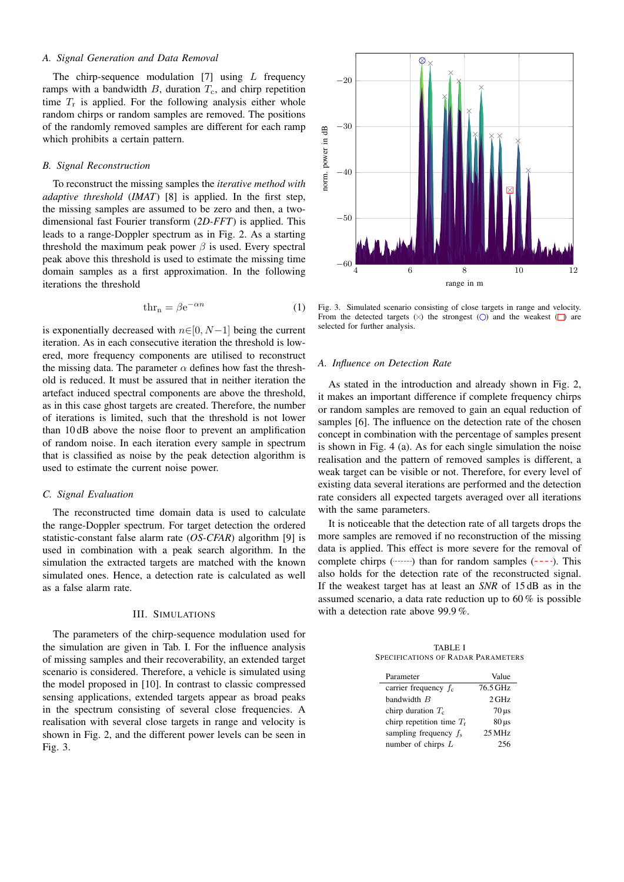# *A. Signal Generation and Data Removal*

The chirp-sequence modulation [7] using  $L$  frequency ramps with a bandwidth  $B$ , duration  $T_c$ , and chirp repetition time  $T_r$  is applied. For the following analysis either whole random chirps or random samples are removed. The positions of the randomly removed samples are different for each ramp which prohibits a certain pattern.

### *B. Signal Reconstruction*

To reconstruct the missing samples the *iterative method with adaptive threshold* (*IMAT*) [8] is applied. In the first step, the missing samples are assumed to be zero and then, a twodimensional fast Fourier transform (*2D-FFT*) is applied. This leads to a range-Doppler spectrum as in Fig. 2. As a starting threshold the maximum peak power  $\beta$  is used. Every spectral peak above this threshold is used to estimate the missing time domain samples as a first approximation. In the following iterations the threshold

$$
\text{thr}_{\text{n}} = \beta e^{-\alpha n} \tag{1}
$$

is exponentially decreased with  $n \in [0, N-1]$  being the current iteration. As in each consecutive iteration the threshold is lowered, more frequency components are utilised to reconstruct the missing data. The parameter  $\alpha$  defines how fast the threshold is reduced. It must be assured that in neither iteration the artefact induced spectral components are above the threshold, as in this case ghost targets are created. Therefore, the number of iterations is limited, such that the threshold is not lower than 10 dB above the noise floor to prevent an amplification of random noise. In each iteration every sample in spectrum that is classified as noise by the peak detection algorithm is used to estimate the current noise power.

#### *C. Signal Evaluation*

The reconstructed time domain data is used to calculate the range-Doppler spectrum. For target detection the ordered statistic-constant false alarm rate (*OS-CFAR*) algorithm [9] is used in combination with a peak search algorithm. In the simulation the extracted targets are matched with the known simulated ones. Hence, a detection rate is calculated as well as a false alarm rate.

#### III. SIMULATIONS

The parameters of the chirp-sequence modulation used for the simulation are given in Tab. I. For the influence analysis of missing samples and their recoverability, an extended target scenario is considered. Therefore, a vehicle is simulated using the model proposed in [10]. In contrast to classic compressed sensing applications, extended targets appear as broad peaks in the spectrum consisting of several close frequencies. A realisation with several close targets in range and velocity is shown in Fig. 2, and the different power levels can be seen in Fig. 3.



Fig. 3. Simulated scenario consisting of close targets in range and velocity. From the detected targets  $(\times)$  the strongest  $(\circ)$  and the weakest  $(\circ)$  are selected for further analysis.

### *A. Influence on Detection Rate*

As stated in the introduction and already shown in Fig. 2, it makes an important difference if complete frequency chirps or random samples are removed to gain an equal reduction of samples [6]. The influence on the detection rate of the chosen concept in combination with the percentage of samples present is shown in Fig. 4 (a). As for each single simulation the noise realisation and the pattern of removed samples is different, a weak target can be visible or not. Therefore, for every level of existing data several iterations are performed and the detection rate considers all expected targets averaged over all iterations with the same parameters.

It is noticeable that the detection rate of all targets drops the more samples are removed if no reconstruction of the missing data is applied. This effect is more severe for the removal of complete chirps ( ) than for random samples ( ). This also holds for the detection rate of the reconstructed signal. If the weakest target has at least an *SNR* of 15 dB as in the assumed scenario, a data rate reduction up to 60 % is possible with a detection rate above 99.9 %.

TABLE I SPECIFICATIONS OF RADAR PARAMETERS

| Parameter                   | Value                 |
|-----------------------------|-----------------------|
| carrier frequency $f_c$     | 76.5 GHz              |
| bandwidth B                 | $2$ GHz               |
| chirp duration $T_c$        | $70 \,\mathrm{u}$ s   |
| chirp repetition time $T_r$ | $80 \,\mathrm{\mu s}$ |
| sampling frequency $f_s$    | 25 MHz                |
| number of chirps $L$        | 256                   |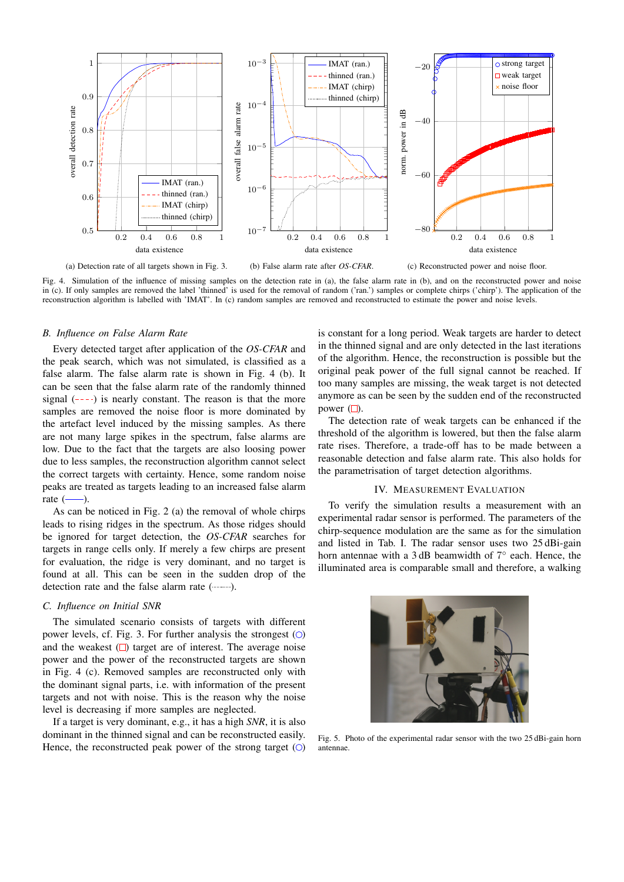

Fig. 4. Simulation of the influence of missing samples on the detection rate in (a), the false alarm rate in (b), and on the reconstructed power and noise in (c). If only samples are removed the label 'thinned' is used for the removal of random ('ran.') samples or complete chirps ('chirp'). The application of the reconstruction algorithm is labelled with 'IMAT'. In (c) random samples are removed and reconstructed to estimate the power and noise levels.

#### *B. Influence on False Alarm Rate*

Every detected target after application of the *OS-CFAR* and the peak search, which was not simulated, is classified as a false alarm. The false alarm rate is shown in Fig. 4 (b). It can be seen that the false alarm rate of the randomly thinned signal  $(---)$  is nearly constant. The reason is that the more samples are removed the noise floor is more dominated by the artefact level induced by the missing samples. As there are not many large spikes in the spectrum, false alarms are low. Due to the fact that the targets are also loosing power due to less samples, the reconstruction algorithm cannot select the correct targets with certainty. Hence, some random noise peaks are treated as targets leading to an increased false alarm rate  $($ — $).$ 

As can be noticed in Fig. 2 (a) the removal of whole chirps leads to rising ridges in the spectrum. As those ridges should be ignored for target detection, the *OS-CFAR* searches for targets in range cells only. If merely a few chirps are present for evaluation, the ridge is very dominant, and no target is found at all. This can be seen in the sudden drop of the detection rate and the false alarm rate (  $\cdots$ ).

# *C. Influence on Initial SNR*

The simulated scenario consists of targets with different power levels, cf. Fig. 3. For further analysis the strongest  $\circ$ and the weakest  $\Box$ ) target are of interest. The average noise power and the power of the reconstructed targets are shown in Fig. 4 (c). Removed samples are reconstructed only with the dominant signal parts, i.e. with information of the present targets and not with noise. This is the reason why the noise level is decreasing if more samples are neglected.

If a target is very dominant, e.g., it has a high *SNR*, it is also dominant in the thinned signal and can be reconstructed easily. Hence, the reconstructed peak power of the strong target  $\circlearrowright$ 

is constant for a long period. Weak targets are harder to detect in the thinned signal and are only detected in the last iterations of the algorithm. Hence, the reconstruction is possible but the original peak power of the full signal cannot be reached. If too many samples are missing, the weak target is not detected anymore as can be seen by the sudden end of the reconstructed power  $\Box$ ).

The detection rate of weak targets can be enhanced if the threshold of the algorithm is lowered, but then the false alarm rate rises. Therefore, a trade-off has to be made between a reasonable detection and false alarm rate. This also holds for the parametrisation of target detection algorithms.

# IV. MEASUREMENT EVALUATION

To verify the simulation results a measurement with an experimental radar sensor is performed. The parameters of the chirp-sequence modulation are the same as for the simulation and listed in Tab. I. The radar sensor uses two 25 dBi-gain horn antennae with a  $3$  dB beamwidth of  $7^\circ$  each. Hence, the illuminated area is comparable small and therefore, a walking



Fig. 5. Photo of the experimental radar sensor with the two 25 dBi-gain horn antennae.